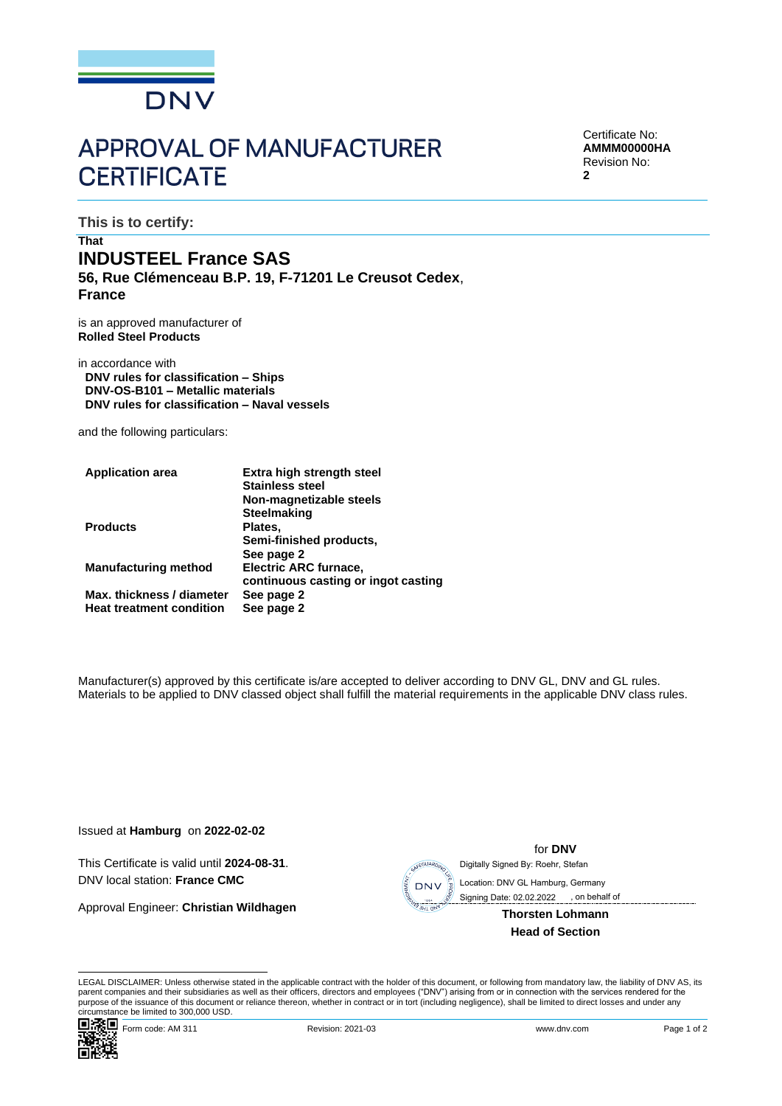

# **APPROVAL OF MANUFACTURER CERTIFICATE**

Certificate No: **AMMM00000HA** Revision No: **2**

**This is to certify:**

# **That INDUSTEEL France SAS**

**56, Rue Clémenceau B.P. 19, F-71201 Le Creusot Cedex**, **France**

is an approved manufacturer of **Rolled Steel Products**

in accordance with **DNV rules for classification – Ships DNV-OS-B101 – Metallic materials DNV rules for classification – Naval vessels**

and the following particulars:

| <b>Application area</b>         | <b>Extra high strength steel</b><br><b>Stainless steel</b> |
|---------------------------------|------------------------------------------------------------|
|                                 | Non-magnetizable steels                                    |
|                                 | <b>Steelmaking</b>                                         |
| <b>Products</b>                 | Plates,                                                    |
|                                 | Semi-finished products,                                    |
|                                 | See page 2                                                 |
| <b>Manufacturing method</b>     | Electric ARC furnace,                                      |
|                                 | continuous casting or ingot casting                        |
| Max. thickness / diameter       | See page 2                                                 |
| <b>Heat treatment condition</b> | See page 2                                                 |
|                                 |                                                            |

Manufacturer(s) approved by this certificate is/are accepted to deliver according to DNV GL, DNV and GL rules. Materials to be applied to DNV classed object shall fulfill the material requirements in the applicable DNV class rules.

Issued at **Hamburg** on **2022-02-02**

This Certificate is valid until **2024-08-31**. DNV local station: **France CMC**

Approval Engineer: **Christian Wildhagen**



**Head of Section**

for **DNV**

LEGAL DISCLAIMER: Unless otherwise stated in the applicable contract with the holder of this document, or following from mandatory law, the liability of DNV AS, its parent companies and their subsidiaries as well as their officers, directors and employees ("DNV") arising from or in connection with the services rendered for the purpose of the issuance of this document or reliance thereon, whether in contract or in tort (including negligence), shall be limited to direct losses and under any circumstance be limited to 300,000 USD.